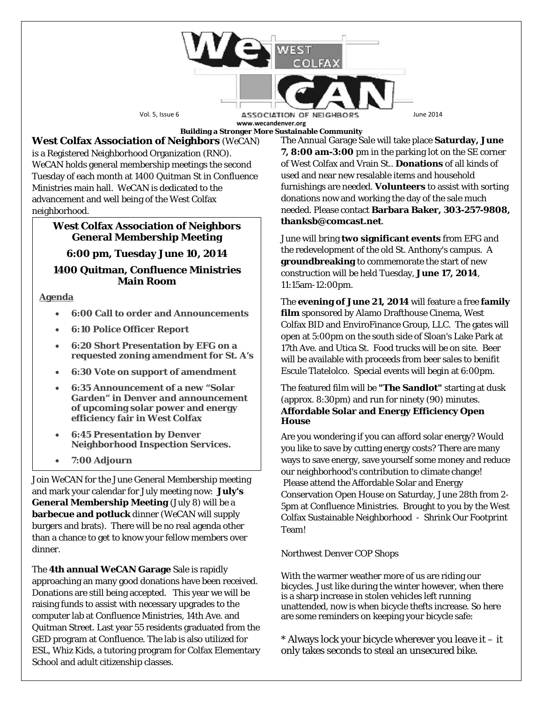

**Building a Stronger More Sustainable Community**

**West Colfax Association of Neighbors** (*WeCAN*) is a Registered Neighborhood Organization (RNO). *WeCAN* holds general membership meetings the second Tuesday of each month at 1400 Quitman St in Confluence Ministries main hall. *WeCAN* is dedicated to the advancement and well being of the West Colfax neighborhood.

# **West Colfax Association of Neighbors General Membership Meeting**

# **6:00 pm, Tuesday June 10, 2014**

# **1400 Quitman, Confluence Ministries Main Room**

**Agenda**

- **6:00 Call to order and Announcements**
- **6:10 Police Officer Report**
- **6:20 Short Presentation by EFG on a requested zoning amendment for St. A's**
- **6:30 Vote on support of amendment**
- **6:35 Announcement of a new "Solar Garden" in Denver and announcement of upcoming solar power and energy efficiency fair in West Colfax**
- **6:45 Presentation by Denver Neighborhood Inspection Services.**
- **7:00 Adjourn**

Join *WeCAN* for the June General Membership meeting and mark your calendar for July meeting now: **July's General Membership Meeting** (July 8) will be a **barbecue and potluck** dinner (*WeCAN* will supply burgers and brats). There will be no real agenda other than a chance to get to know your fellow members over dinner.

The **4th annual** *WeCAN* **Garage** Sale is rapidly approaching an many good donations have been received. Donations are still being accepted. This year we will be raising funds to assist with necessary upgrades to the computer lab at Confluence Ministries, 14th Ave. and Quitman Street. Last year 55 residents graduated from the GED program at Confluence. The lab is also utilized for ESL, Whiz Kids, a tutoring program for Colfax Elementary School and adult citizenship classes.

The Annual Garage Sale will take place **Saturday, June 7, 8:00 am-3:00** pm in the parking lot on the SE corner of West Colfax and Vrain St.. **Donations** of all kinds of used and near new resalable items and household furnishings are needed. **Volunteers** to assist with sorting donations now and working the day of the sale much needed. Please contact **Barbara Baker, 303-257-9808, thanksb@comcast.net**.

June will bring **two significant events** from EFG and the redevelopment of the old St. Anthony's campus. A **groundbreaking** to commemorate the start of new construction will be held Tuesday, **June 17, 2014**, 11:15am-12:00pm.

The **evening of June 21, 2014** will feature a free **family film** sponsored by Alamo Drafthouse Cinema, West Colfax BID and EnviroFinance Group, LLC. The gates will open at 5:00pm on the south side of Sloan's Lake Park at 17th Ave. and Utica St. Food trucks will be on site. Beer will be available with proceeds from beer sales to benifit Escule Tlatelolco. Special events will begin at 6:00pm.

The featured film will be **"The Sandlot"** starting at dusk (approx. 8:30pm) and run for ninety (90) minutes. **Affordable Solar and Energy Efficiency Open House**

Are you wondering if you can afford solar energy? Would you like to save by cutting energy costs? There are many ways to save energy, save yourself some money and reduce our neighborhood's contribution to climate change! Please attend the Affordable Solar and Energy Conservation Open House on Saturday, June 28th from 2- 5pm at Confluence Ministries. Brought to you by the West Colfax Sustainable Neighborhood - Shrink Our Footprint Team!

# Northwest Denver COP Shops

With the warmer weather more of us are riding our bicycles. Just like during the winter however, when there is a sharp increase in stolen vehicles left running unattended, now is when bicycle thefts increase. So here are some reminders on keeping your bicycle safe:

 $*$  Always lock your bicycle wherever you leave it  $-$  it only takes seconds to steal an unsecured bike.